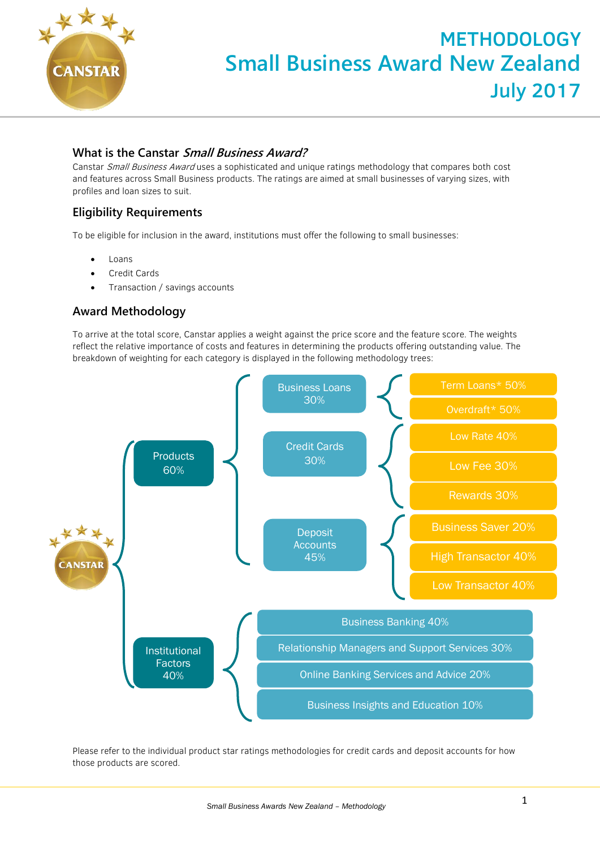

## **What is the Canstar Small Business Award?**

Canstar Small Business Award uses a sophisticated and unique ratings methodology that compares both cost and features across Small Business products. The ratings are aimed at small businesses of varying sizes, with profiles and loan sizes to suit.

# **Eligibility Requirements**

To be eligible for inclusion in the award, institutions must offer the following to small businesses:

- Loans
- Credit Cards
- Transaction / savings accounts

# **Award Methodology**

To arrive at the total score, Canstar applies a weight against the price score and the feature score. The weights reflect the relative importance of costs and features in determining the products offering outstanding value. The breakdown of weighting for each category is displayed in the following methodology trees:



Please refer to the individual product star ratings methodologies for credit cards and deposit accounts for how those products are scored.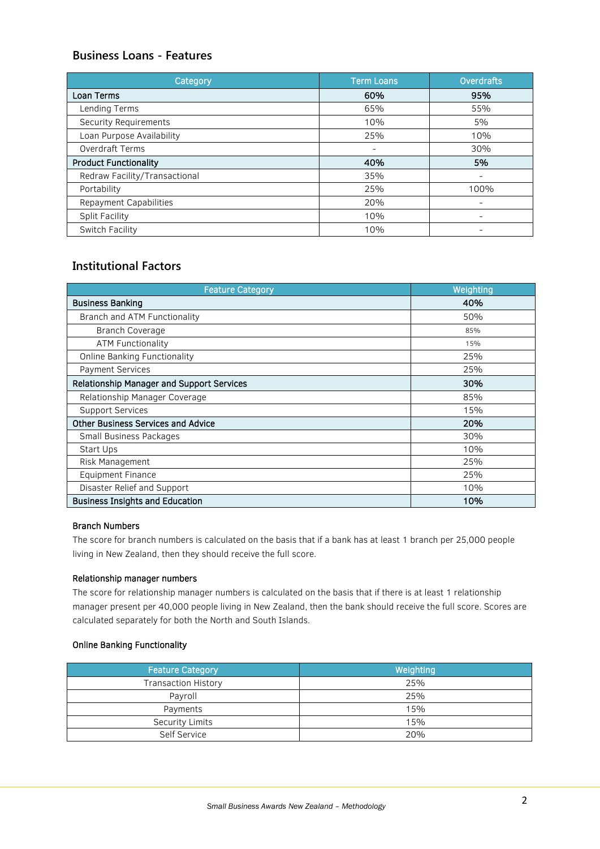## **Business Loans - Features**

| Category                      | <b>Term Loans</b> | <b>Overdrafts</b> |
|-------------------------------|-------------------|-------------------|
| Loan Terms                    | 60%               | 95%               |
| Lending Terms                 | 65%               | 55%               |
| Security Requirements         | 10%               | 5%                |
| Loan Purpose Availability     | 25%               | 10%               |
| <b>Overdraft Terms</b>        | -                 | 30%               |
| <b>Product Functionality</b>  | 40%               | 5%                |
| Redraw Facility/Transactional | 35%               | -                 |
| Portability                   | 25%               | 100%              |
| Repayment Capabilities        | 20%               | -                 |
| Split Facility                | 10%               | -                 |
| Switch Facility               | 10%               |                   |

### **Institutional Factors**

| <b>Feature Category</b>                   | Weighting |
|-------------------------------------------|-----------|
| <b>Business Banking</b>                   | 40%       |
| Branch and ATM Functionality              | 50%       |
| <b>Branch Coverage</b>                    | 85%       |
| <b>ATM Functionality</b>                  | 15%       |
| <b>Online Banking Functionality</b>       | 25%       |
| <b>Payment Services</b>                   | 25%       |
| Relationship Manager and Support Services | 30%       |
| Relationship Manager Coverage             | 85%       |
| <b>Support Services</b>                   | 15%       |
| <b>Other Business Services and Advice</b> | 20%       |
| Small Business Packages                   | 30%       |
| Start Ups                                 | 10%       |
| Risk Management                           | 25%       |
| <b>Equipment Finance</b>                  | 25%       |
| Disaster Relief and Support               | 10%       |
| <b>Business Insights and Education</b>    | 10%       |

### Branch Numbers

The score for branch numbers is calculated on the basis that if a bank has at least 1 branch per 25,000 people living in New Zealand, then they should receive the full score.

#### Relationship manager numbers

The score for relationship manager numbers is calculated on the basis that if there is at least 1 relationship manager present per 40,000 people living in New Zealand, then the bank should receive the full score. Scores are calculated separately for both the North and South Islands.

### Online Banking Functionality

| <b>Feature Category</b>    | Weighting |  |
|----------------------------|-----------|--|
| <b>Transaction History</b> | 25%       |  |
| Payroll                    | 25%       |  |
| Payments                   | 15%       |  |
| <b>Security Limits</b>     | 15%       |  |
| Self Service               | 20%       |  |